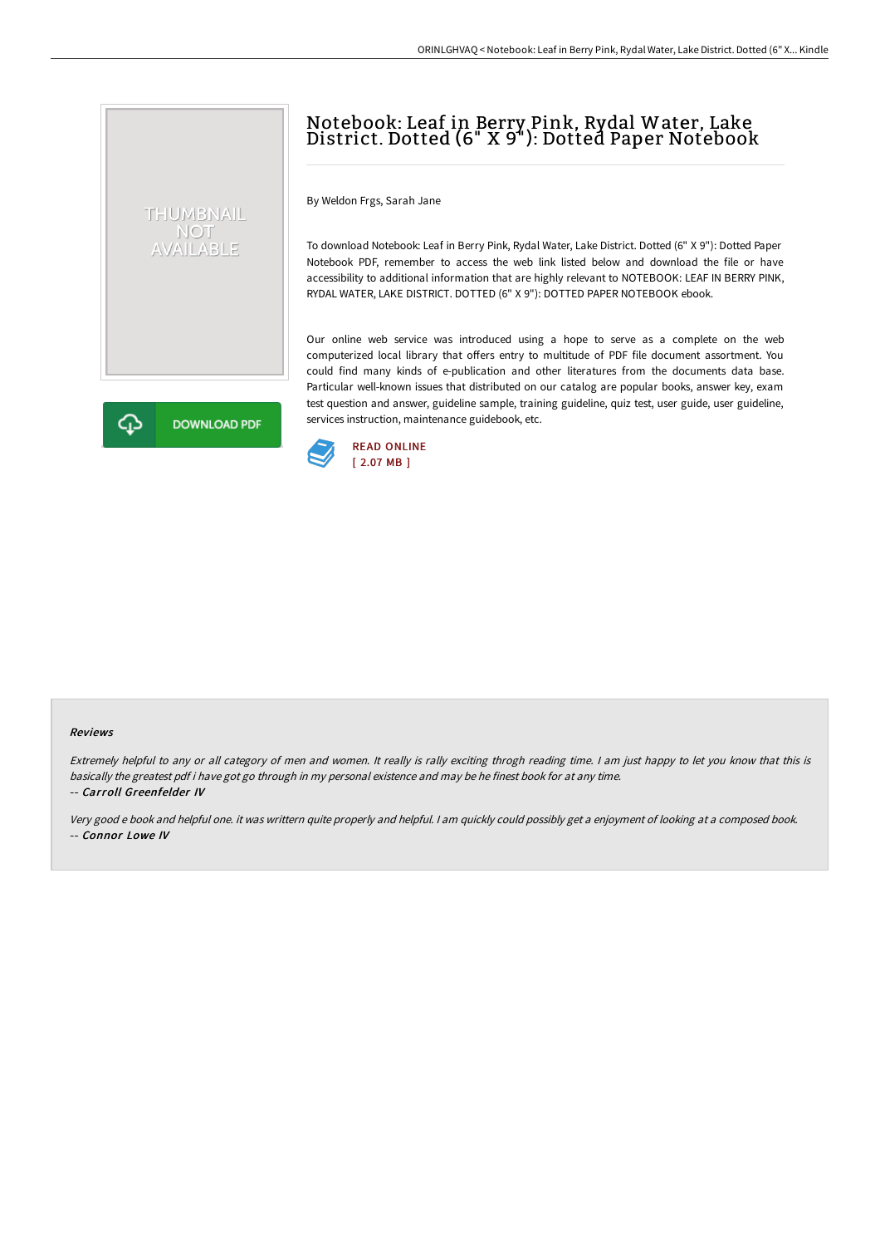## Notebook: Leaf in Berry Pink, Rydal Water, Lake District. Dotted (6" X 9"): Dotted Paper Notebook

By Weldon Frgs, Sarah Jane

THUMBNAIL NOT<br>AVAILABLE

**DOWNLOAD PDF** 

To download Notebook: Leaf in Berry Pink, Rydal Water, Lake District. Dotted (6" X 9"): Dotted Paper Notebook PDF, remember to access the web link listed below and download the file or have accessibility to additional information that are highly relevant to NOTEBOOK: LEAF IN BERRY PINK, RYDAL WATER, LAKE DISTRICT. DOTTED (6" X 9"): DOTTED PAPER NOTEBOOK ebook.

Our online web service was introduced using a hope to serve as a complete on the web computerized local library that offers entry to multitude of PDF file document assortment. You could find many kinds of e-publication and other literatures from the documents data base. Particular well-known issues that distributed on our catalog are popular books, answer key, exam test question and answer, guideline sample, training guideline, quiz test, user guide, user guideline, services instruction, maintenance guidebook, etc.



## Reviews

⊕

Extremely helpful to any or all category of men and women. It really is rally exciting throgh reading time. <sup>I</sup> am just happy to let you know that this is basically the greatest pdf i have got go through in my personal existence and may be he finest book for at any time. -- Carroll Greenfelder IV

Very good <sup>e</sup> book and helpful one. it was writtern quite properly and helpful. <sup>I</sup> am quickly could possibly get <sup>a</sup> enjoyment of looking at <sup>a</sup> composed book. -- Connor Lowe IV